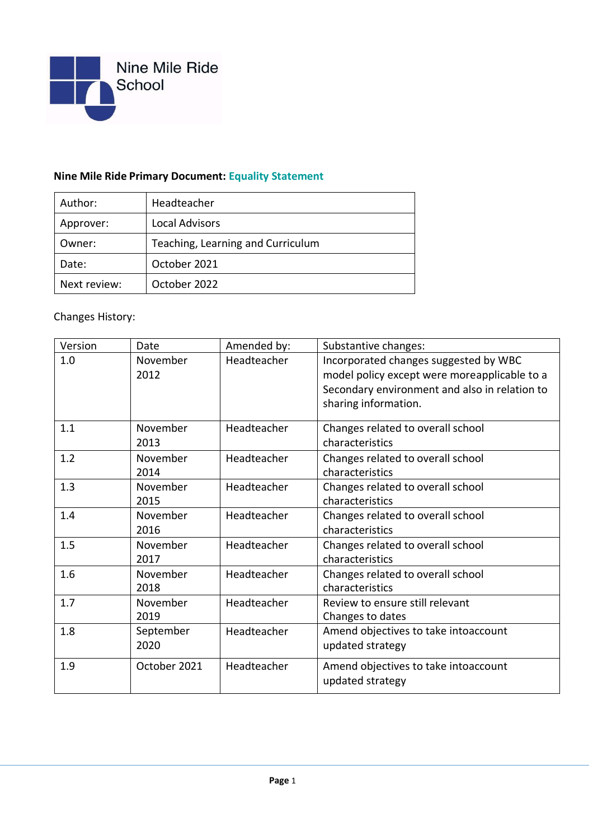

## **Nine Mile Ride Primary Document: Equality Statement**

| Author:      | Headteacher                       |  |
|--------------|-----------------------------------|--|
| Approver:    | <b>Local Advisors</b>             |  |
| Owner:       | Teaching, Learning and Curriculum |  |
| Date:        | October 2021                      |  |
| Next review: | October 2022                      |  |

## Changes History:

| Version | Date              | Amended by: | Substantive changes:                                                                                                                                           |
|---------|-------------------|-------------|----------------------------------------------------------------------------------------------------------------------------------------------------------------|
| 1.0     | November<br>2012  | Headteacher | Incorporated changes suggested by WBC<br>model policy except were moreapplicable to a<br>Secondary environment and also in relation to<br>sharing information. |
| 1.1     | November<br>2013  | Headteacher | Changes related to overall school<br>characteristics                                                                                                           |
| 1.2     | November<br>2014  | Headteacher | Changes related to overall school<br>characteristics                                                                                                           |
| 1.3     | November<br>2015  | Headteacher | Changes related to overall school<br>characteristics                                                                                                           |
| 1.4     | November<br>2016  | Headteacher | Changes related to overall school<br>characteristics                                                                                                           |
| 1.5     | November<br>2017  | Headteacher | Changes related to overall school<br>characteristics                                                                                                           |
| 1.6     | November<br>2018  | Headteacher | Changes related to overall school<br>characteristics                                                                                                           |
| 1.7     | November<br>2019  | Headteacher | Review to ensure still relevant<br>Changes to dates                                                                                                            |
| 1.8     | September<br>2020 | Headteacher | Amend objectives to take intoaccount<br>updated strategy                                                                                                       |
| 1.9     | October 2021      | Headteacher | Amend objectives to take intoaccount<br>updated strategy                                                                                                       |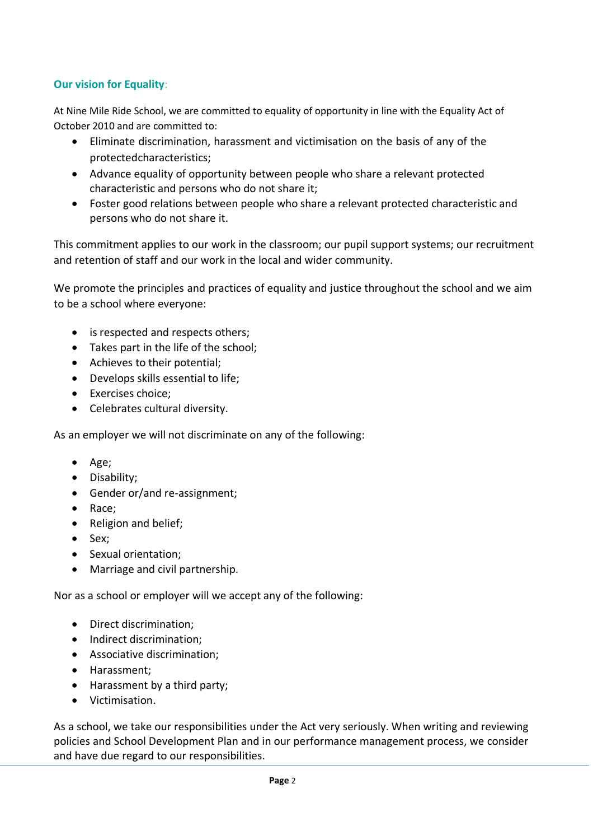## **Our vision for Equality**:

At Nine Mile Ride School, we are committed to equality of opportunity in line with the Equality Act of October 2010 and are committed to:

- Eliminate discrimination, harassment and victimisation on the basis of any of the protectedcharacteristics;
- Advance equality of opportunity between people who share a relevant protected characteristic and persons who do not share it;
- Foster good relations between people who share a relevant protected characteristic and persons who do not share it.

This commitment applies to our work in the classroom; our pupil support systems; our recruitment and retention of staff and our work in the local and wider community.

We promote the principles and practices of equality and justice throughout the school and we aim to be a school where everyone:

- is respected and respects others;
- Takes part in the life of the school;
- Achieves to their potential;
- Develops skills essential to life;
- Exercises choice;
- Celebrates cultural diversity.

As an employer we will not discriminate on any of the following:

- Age;
- Disability;
- Gender or/and re-assignment;
- Race;
- Religion and belief;
- Sex;
- Sexual orientation;
- Marriage and civil partnership.

Nor as a school or employer will we accept any of the following:

- Direct discrimination;
- Indirect discrimination;
- Associative discrimination;
- Harassment;
- Harassment by a third party;
- Victimisation.

As a school, we take our responsibilities under the Act very seriously. When writing and reviewing policies and School Development Plan and in our performance management process, we consider and have due regard to our responsibilities.